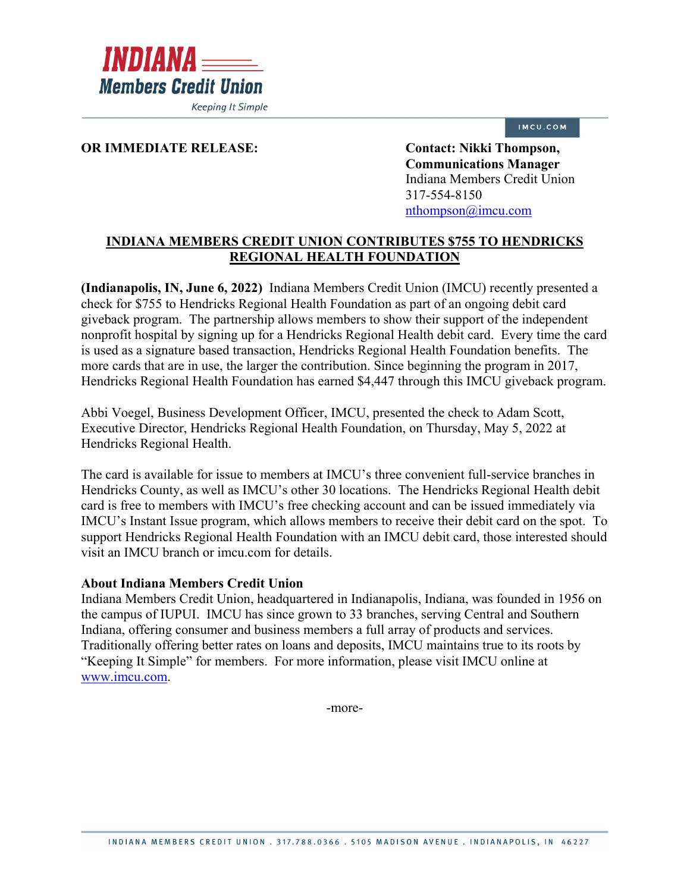

IMCU.COM

## **OR IMMEDIATE RELEASE: Contact: Nikki Thompson,**

**Communications Manager** Indiana Members Credit Union 317-554-8150 [nthompson@imcu.com](mailto:nthompson@imcu.com) 

## **INDIANA MEMBERS CREDIT UNION CONTRIBUTES \$755 TO HENDRICKS REGIONAL HEALTH FOUNDATION**

**(Indianapolis, IN, June 6, 2022)** Indiana Members Credit Union (IMCU) recently presented a check for \$755 to Hendricks Regional Health Foundation as part of an ongoing debit card giveback program. The partnership allows members to show their support of the independent nonprofit hospital by signing up for a Hendricks Regional Health debit card. Every time the card is used as a signature based transaction, Hendricks Regional Health Foundation benefits. The more cards that are in use, the larger the contribution. Since beginning the program in 2017, Hendricks Regional Health Foundation has earned \$4,447 through this IMCU giveback program.

Abbi Voegel, Business Development Officer, IMCU, presented the check to Adam Scott, Executive Director, Hendricks Regional Health Foundation, on Thursday, May 5, 2022 at Hendricks Regional Health.

The card is available for issue to members at IMCU's three convenient full-service branches in Hendricks County, as well as IMCU's other 30 locations. The Hendricks Regional Health debit card is free to members with IMCU's free checking account and can be issued immediately via IMCU's Instant Issue program, which allows members to receive their debit card on the spot. To support Hendricks Regional Health Foundation with an IMCU debit card, those interested should visit an IMCU branch or imcu.com for details.

## **About Indiana Members Credit Union**

Indiana Members Credit Union, headquartered in Indianapolis, Indiana, was founded in 1956 on the campus of IUPUI. IMCU has since grown to 33 branches, serving Central and Southern Indiana, offering consumer and business members a full array of products and services. Traditionally offering better rates on loans and deposits, IMCU maintains true to its roots by "Keeping It Simple" for members. For more information, please visit IMCU online at [www.imcu.com.](http://www.imcu.com/)

-more-